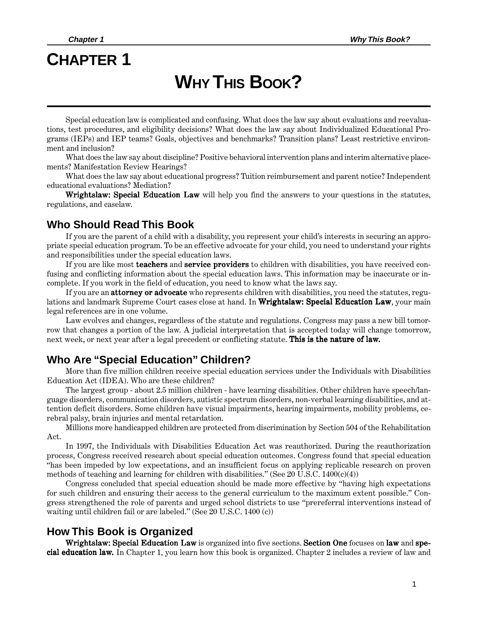## **WHY THIS BOOK?**

Special education law is complicated and confusing. What does the law say about evaluations and reevaluations, test procedures, and eligibility decisions? What does the law say about Individualized Educational Programs (IEPs) and IEP teams? Goals, objectives and benchmarks? Transition plans? Least restrictive environment and inclusion?

What does the law say about discipline? Positive behavioral intervention plans and interim alternative placements? Manifestation Review Hearings?

What does the law say about educational progress? Tuition reimbursement and parent notice? Independent educational evaluations? Mediation?

**Wrightslaw: Special Education Law** will help you find the answers to your questions in the statutes, regulations, and caselaw.

#### **Who Should Read This Book**

If you are the parent of a child with a disability, you represent your child's interests in securing an appropriate special education program. To be an effective advocate for your child, you need to understand your rights and responsibilities under the special education laws.

If you are like most **teachers** and **service providers** to children with disabilities, you have received confusing and conflicting information about the special education laws. This information may be inaccurate or incomplete. If you work in the field of education, you need to know what the laws say.

If you are an **attorney or advocate** who represents children with disabilities, you need the statutes, regulations and landmark Supreme Court cases close at hand. In Wrightslaw: Special Education Law, your main legal references are in one volume.

Law evolves and changes, regardless of the statute and regulations. Congress may pass a new bill tomorrow that changes a portion of the law. A judicial interpretation that is accepted today will change tomorrow, next week, or next year after a legal precedent or conflicting statute. This is the nature of law.

#### **Who Are "Special Education" Children?**

More than five million children receive special education services under the Individuals with Disabilities Education Act (IDEA). Who are these children?

The largest group - about 2.5 million children - have learning disabilities. Other children have speech/language disorders, communication disorders, autistic spectrum disorders, non-verbal learning disabilities, and attention deficit disorders. Some children have visual impairments, hearing impairments, mobility problems, cerebral palsy, brain injuries and mental retardation.

Millions more handicapped children are protected from discrimination by Section 504 of the Rehabilitation Act.

In 1997, the Individuals with Disabilities Education Act was reauthorized. During the reauthorization process, Congress received research about special education outcomes. Congress found that special education "has been impeded by low expectations, and an insufficient focus on applying replicable research on proven methods of teaching and learning for children with disabilities." (See 20 U.S.C.  $1400(c)(4)$ )

Congress concluded that special education should be made more effective by "having high expectations for such children and ensuring their access to the general curriculum to the maximum extent possible." Congress strengthened the role of parents and urged school districts to use "prereferral interventions instead of waiting until children fail or are labeled." (See 20 U.S.C. 1400 (c))

#### **How This Book is Organized**

Wrightslaw: Special Education Law is organized into five sections. Section One focuses on law and special education law. In Chapter 1, you learn how this book is organized. Chapter 2 includes a review of law and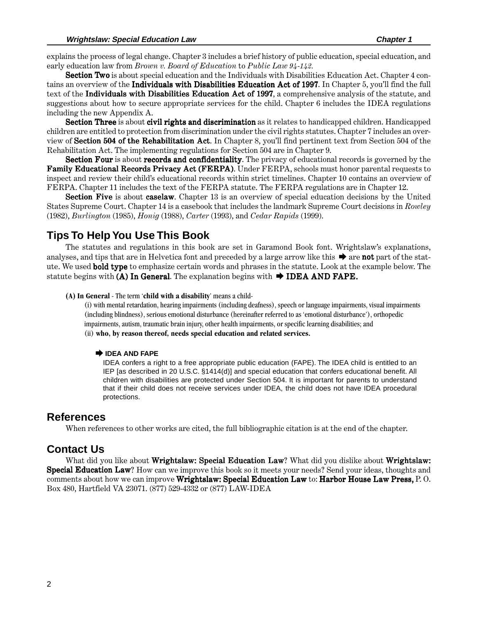explains the process of legal change. Chapter 3 includes a brief history of public education, special education, and early education law from *Brown v. Board of Education* to *Public Law 94-142.*

Section Two is about special education and the Individuals with Disabilities Education Act. Chapter 4 contains an overview of the **Individuals with Disabilities Education Act of 1997**. In Chapter 5, you'll find the full text of the Individuals with Disabilities Education Act of 1997, a comprehensive analysis of the statute, and suggestions about how to secure appropriate services for the child. Chapter 6 includes the IDEA regulations including the new Appendix A.

Section Three is about civil rights and discrimination as it relates to handicapped children. Handicapped children are entitled to protection from discrimination under the civil rights statutes. Chapter 7 includes an overview of Section 504 of the Rehabilitation Act. In Chapter 8, you'll find pertinent text from Section 504 of the Rehabilitation Act. The implementing regulations for Section 504 are in Chapter 9.

Section Four is about records and confidentiality. The privacy of educational records is governed by the Family Educational Records Privacy Act (FERPA). Under FERPA, schools must honor parental requests to inspect and review their child's educational records within strict timelines. Chapter 10 contains an overview of FERPA. Chapter 11 includes the text of the FERPA statute. The FERPA regulations are in Chapter 12.

Section Five is about caselaw. Chapter 13 is an overview of special education decisions by the United States Supreme Court. Chapter 14 is a casebook that includes the landmark Supreme Court decisions in *Rowley* (1982), *Burlington* (1985), *Honig* (1988), *Carter* (1993), and *Cedar Rapids* (1999).

#### **Tips To Help You Use This Book**

The statutes and regulations in this book are set in Garamond Book font. Wrightslaw's explanations, analyses, and tips that are in Helvetica font and preceded by a large arrow like this  $\blacktriangleright$  are not part of the statute. We used **bold type** to emphasize certain words and phrases in the statute. Look at the example below. The statute begins with (A) In General. The explanation begins with  $\rightarrow$  IDEA AND FAPE.

**(A) In General** - The term '**child with a disability**' means a child-

(i) with mental retardation, hearing impairments (including deafness), speech or language impairments, visual impairments (including blindness), serious emotional disturbance (hereinafter referred to as 'emotional disturbance'), orthopedic impairments, autism, traumatic brain injury, other health impairments, or specific learning disabilities; and (ii) **who, by reason thereof, needs special education and related services.**

#### -**IDEA AND FAPE**

IDEA confers a right to a free appropriate public education (FAPE). The IDEA child is entitled to an IEP [as described in 20 U.S.C. §1414(d)] and special education that confers educational benefit. All children with disabilities are protected under Section 504. It is important for parents to understand that if their child does not receive services under IDEA, the child does not have IDEA procedural protections.

#### **References**

When references to other works are cited, the full bibliographic citation is at the end of the chapter.

#### **Contact Us**

What did you like about Wrightslaw: Special Education Law? What did you dislike about Wrightslaw: **Special Education Law**? How can we improve this book so it meets your needs? Send your ideas, thoughts and comments about how we can improve Wrightslaw: Special Education Law to: Harbor House Law Press, P.O. Box 480, Hartfield VA 23071. (877) 529-4332 or (877) LAW-IDEA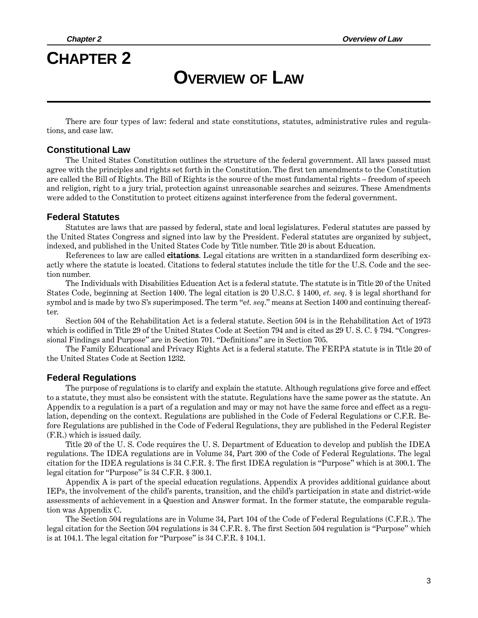## **OVERVIEW OF LAW**

There are four types of law: federal and state constitutions, statutes, administrative rules and regulations, and case law.

#### **Constitutional Law**

The United States Constitution outlines the structure of the federal government. All laws passed must agree with the principles and rights set forth in the Constitution. The first ten amendments to the Constitution are called the Bill of Rights. The Bill of Rights is the source of the most fundamental rights – freedom of speech and religion, right to a jury trial, protection against unreasonable searches and seizures. These Amendments were added to the Constitution to protect citizens against interference from the federal government.

#### **Federal Statutes**

Statutes are laws that are passed by federal, state and local legislatures. Federal statutes are passed by the United States Congress and signed into law by the President. Federal statutes are organized by subject, indexed, and published in the United States Code by Title number. Title 20 is about Education.

References to law are called **citations**. Legal citations are written in a standardized form describing exactly where the statute is located. Citations to federal statutes include the title for the U.S. Code and the section number.

The Individuals with Disabilities Education Act is a federal statute. The statute is in Title 20 of the United States Code, beginning at Section 1400. The legal citation is 20 U.S.C. § 1400, *et. seq*. § is legal shorthand for symbol and is made by two S's superimposed. The term "e*t. seq*." means at Section 1400 and continuing thereafter.

Section 504 of the Rehabilitation Act is a federal statute. Section 504 is in the Rehabilitation Act of 1973 which is codified in Title 29 of the United States Code at Section 794 and is cited as 29 U. S. C. § 794. "Congressional Findings and Purpose" are in Section 701. "Definitions" are in Section 705.

The Family Educational and Privacy Rights Act is a federal statute. The FERPA statute is in Title 20 of the United States Code at Section 1232.

#### **Federal Regulations**

The purpose of regulations is to clarify and explain the statute. Although regulations give force and effect to a statute, they must also be consistent with the statute. Regulations have the same power as the statute. An Appendix to a regulation is a part of a regulation and may or may not have the same force and effect as a regulation, depending on the context. Regulations are published in the Code of Federal Regulations or C.F.R. Before Regulations are published in the Code of Federal Regulations, they are published in the Federal Register (F.R.) which is issued daily.

Title 20 of the U. S. Code requires the U. S. Department of Education to develop and publish the IDEA regulations. The IDEA regulations are in Volume 34, Part 300 of the Code of Federal Regulations. The legal citation for the IDEA regulations is 34 C.F.R. §. The first IDEA regulation is "Purpose" which is at 300.1. The legal citation for "Purpose" is 34 C.F.R. § 300.1.

Appendix A is part of the special education regulations. Appendix A provides additional guidance about IEPs, the involvement of the child's parents, transition, and the child's participation in state and district-wide assessments of achievement in a Question and Answer format. In the former statute, the comparable regulation was Appendix C.

The Section 504 regulations are in Volume 34, Part 104 of the Code of Federal Regulations (C.F.R.). The legal citation for the Section 504 regulations is 34 C.F.R. §. The first Section 504 regulation is "Purpose" which is at 104.1. The legal citation for "Purpose" is 34 C.F.R. § 104.1.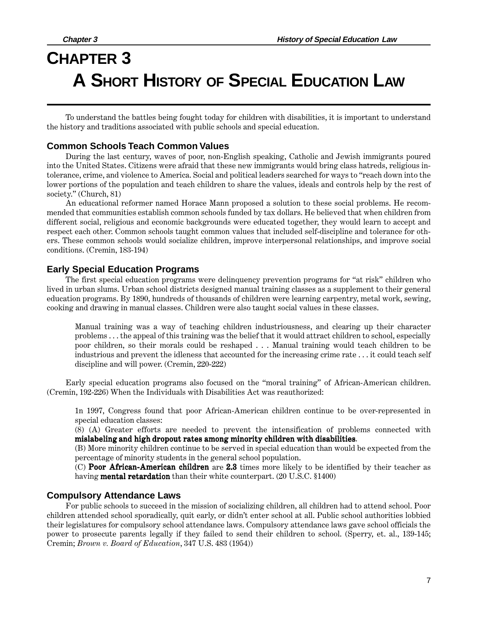## **CHAPTER 3 A SHORT HISTORY OF SPECIAL EDUCATION LAW**

To understand the battles being fought today for children with disabilities, it is important to understand the history and traditions associated with public schools and special education.

#### **Common Schools Teach Common Values**

During the last century, waves of poor, non-English speaking, Catholic and Jewish immigrants poured into the United States. Citizens were afraid that these new immigrants would bring class hatreds, religious intolerance, crime, and violence to America. Social and political leaders searched for ways to "reach down into the lower portions of the population and teach children to share the values, ideals and controls help by the rest of society." (Church, 81)

An educational reformer named Horace Mann proposed a solution to these social problems. He recommended that communities establish common schools funded by tax dollars. He believed that when children from different social, religious and economic backgrounds were educated together, they would learn to accept and respect each other. Common schools taught common values that included self-discipline and tolerance for others. These common schools would socialize children, improve interpersonal relationships, and improve social conditions. (Cremin, 183-194)

#### **Early Special Education Programs**

The first special education programs were delinquency prevention programs for "at risk" children who lived in urban slums. Urban school districts designed manual training classes as a supplement to their general education programs. By 1890, hundreds of thousands of children were learning carpentry, metal work, sewing, cooking and drawing in manual classes. Children were also taught social values in these classes.

Manual training was a way of teaching children industriousness, and clearing up their character problems . . . the appeal of this training was the belief that it would attract children to school, especially poor children, so their morals could be reshaped . . . Manual training would teach children to be industrious and prevent the idleness that accounted for the increasing crime rate . . . it could teach self discipline and will power. (Cremin, 220-222)

Early special education programs also focused on the "moral training" of African-American children. (Cremin, 192-226) When the Individuals with Disabilities Act was reauthorized:

1n 1997, Congress found that poor African-American children continue to be over-represented in special education classes:

(8) (A) Greater efforts are needed to prevent the intensification of problems connected with mislabeling and high dropout rates among minority children with disabilities.

(B) More minority children continue to be served in special education than would be expected from the percentage of minority students in the general school population.

(C) Poor African-American children are 2.3 times more likely to be identified by their teacher as having **mental retardation** than their white counterpart. (20 U.S.C. §1400)

#### **Compulsory Attendance Laws**

For public schools to succeed in the mission of socializing children, all children had to attend school. Poor children attended school sporadically, quit early, or didn't enter school at all. Public school authorities lobbied their legislatures for compulsory school attendance laws. Compulsory attendance laws gave school officials the power to prosecute parents legally if they failed to send their children to school. (Sperry, et. al., 139-145; Cremin; *Brown v. Board of Education*, 347 U.S. 483 (1954))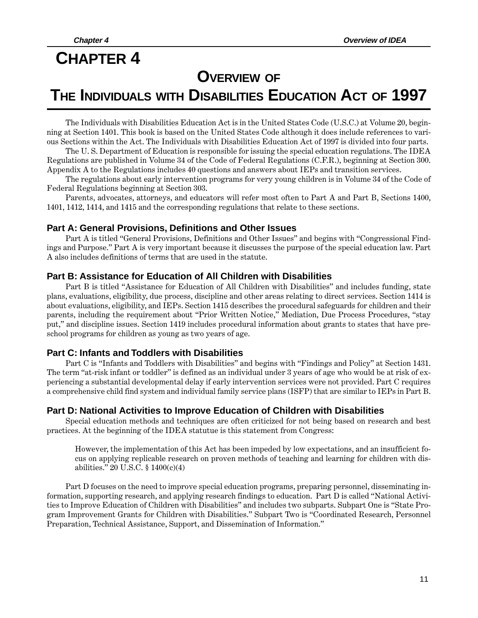### **OVERVIEW OF**

## **THE INDIVIDUALS WITH DISABILITIES EDUCATION ACT OF 1997**

The Individuals with Disabilities Education Act is in the United States Code (U.S.C.) at Volume 20, beginning at Section 1401. This book is based on the United States Code although it does include references to various Sections within the Act. The Individuals with Disabilities Education Act of 1997 is divided into four parts.

The U. S. Department of Education is responsible for issuing the special education regulations. The IDEA Regulations are published in Volume 34 of the Code of Federal Regulations (C.F.R.), beginning at Section 300. Appendix A to the Regulations includes 40 questions and answers about IEPs and transition services.

The regulations about early intervention programs for very young children is in Volume 34 of the Code of Federal Regulations beginning at Section 303.

Parents, advocates, attorneys, and educators will refer most often to Part A and Part B, Sections 1400, 1401, 1412, 1414, and 1415 and the corresponding regulations that relate to these sections.

#### **Part A: General Provisions, Definitions and Other Issues**

Part A is titled "General Provisions, Definitions and Other Issues" and begins with "Congressional Findings and Purpose." Part A is very important because it discusses the purpose of the special education law. Part A also includes definitions of terms that are used in the statute.

#### **Part B: Assistance for Education of All Children with Disabilities**

Part B is titled "Assistance for Education of All Children with Disabilities" and includes funding, state plans, evaluations, eligibility, due process, discipline and other areas relating to direct services. Section 1414 is about evaluations, eligibility, and IEPs. Section 1415 describes the procedural safeguards for children and their parents, including the requirement about "Prior Written Notice," Mediation, Due Process Procedures, "stay put," and discipline issues. Section 1419 includes procedural information about grants to states that have preschool programs for children as young as two years of age.

#### **Part C: Infants and Toddlers with Disabilities**

Part C is "Infants and Toddlers with Disabilities" and begins with "Findings and Policy" at Section 1431. The term "at-risk infant or toddler" is defined as an individual under 3 years of age who would be at risk of experiencing a substantial developmental delay if early intervention services were not provided. Part C requires a comprehensive child find system and individual family service plans (ISFP) that are similar to IEPs in Part B.

#### **Part D: National Activities to Improve Education of Children with Disabilities**

Special education methods and techniques are often criticized for not being based on research and best practices. At the beginning of the IDEA statutue is this statement from Congress:

However, the implementation of this Act has been impeded by low expectations, and an insufficient focus on applying replicable research on proven methods of teaching and learning for children with disabilities." 20 U.S.C. § 1400(c)(4)

Part D focuses on the need to improve special education programs, preparing personnel, disseminating information, supporting research, and applying research findings to education. Part D is called "National Activities to Improve Education of Children with Disabilities" and includes two subparts. Subpart One is "State Program Improvement Grants for Children with Disabilities." Subpart Two is "Coordinated Research, Personnel Preparation, Technical Assistance, Support, and Dissemination of Information."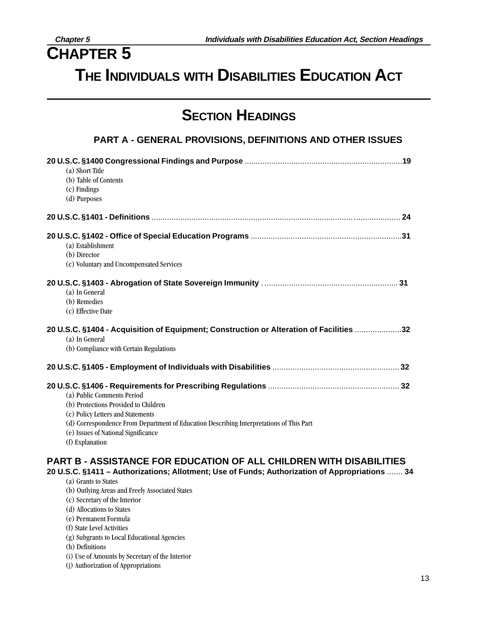## **THE INDIVIDUALS WITH DISABILITIES EDUCATION ACT**

### **SECTION HEADINGS**

**PART A - GENERAL PROVISIONS, DEFINITIONS AND OTHER ISSUES**

| <u>PART A - GENERAL PROVISIONS, DEFINITIONS AND OTHER ISSUES</u>                                                                                                                                                                                                                                                                               |  |  |
|------------------------------------------------------------------------------------------------------------------------------------------------------------------------------------------------------------------------------------------------------------------------------------------------------------------------------------------------|--|--|
| (a) Short Title<br>(b) Table of Contents<br>(c) Findings<br>(d) Purposes                                                                                                                                                                                                                                                                       |  |  |
|                                                                                                                                                                                                                                                                                                                                                |  |  |
| (a) Establishment<br>(b) Director<br>(c) Voluntary and Uncompensated Services                                                                                                                                                                                                                                                                  |  |  |
| (a) In General<br>(b) Remedies<br>(c) Effective Date                                                                                                                                                                                                                                                                                           |  |  |
| 20 U.S.C. §1404 - Acquisition of Equipment; Construction or Alteration of Facilities 32<br>(a) In General<br>(b) Compliance with Certain Regulations                                                                                                                                                                                           |  |  |
|                                                                                                                                                                                                                                                                                                                                                |  |  |
| (a) Public Comments Period<br>(b) Protections Provided to Children<br>(c) Policy Letters and Statements<br>(d) Correspondence From Department of Education Describing Interpretations of This Part<br>(e) Issues of National Significance<br>(f) Explanation                                                                                   |  |  |
| <b>PART B - ASSISTANCE FOR EDUCATION OF ALL CHILDREN WITH DISABILITIES</b><br>20 U.S.C. §1411 - Authorizations; Allotment; Use of Funds; Authorization of Appropriations  34<br>(a) Grants to States<br>(b) Outlying Areas and Freely Associated States<br>(c) Secretary of the Interior<br>(d) Allocations to States<br>(e) Permanent Formula |  |  |

- (f) State Level Activities
- (g) Subgrants to Local Educational Agencies
- (h) Definitions
- (i) Use of Amounts by Secretary of the Interior
- (j) Authorization of Appropriations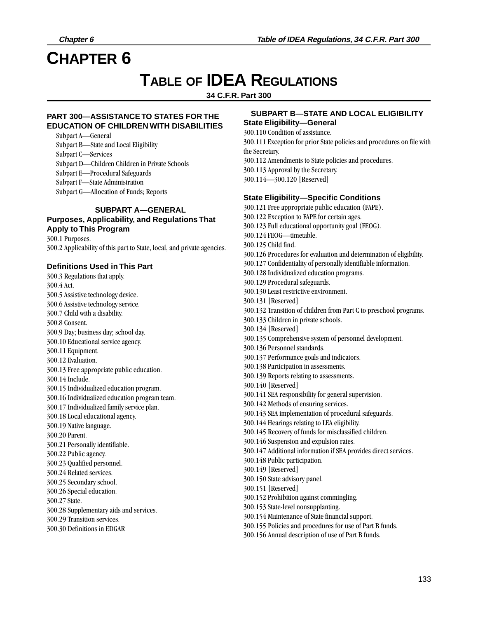## **TABLE OF IDEA REGULATIONS**

**34 C.F.R. Part 300**

#### **PART 300—ASSISTANCE TO STATES FOR THE EDUCATION OF CHILDREN WITH DISABILITIES**

Subpart A—General

Subpart B—State and Local Eligibility

Subpart C—Services

Subpart D—Children Children in Private Schools

Subpart E—Procedural Safeguards

Subpart F—State Administration

Subpart G—Allocation of Funds; Reports

#### **SUBPART A—GENERAL Purposes, Applicability, and Regulations That**

**Apply to This Program** 300.1 Purposes.

300.2 Applicability of this part to State, local, and private agencies.

#### **Definitions Used in This Part**

300.3 Regulations that apply. 300.4 Act. 300.5 Assistive technology device. 300.6 Assistive technology service. 300.7 Child with a disability. 300.8 Consent. 300.9 Day; business day; school day. 300.10 Educational service agency. 300.11 Equipment. 300.12 Evaluation. 300.13 Free appropriate public education. 300.14 Include. 300.15 Individualized education program. 300.16 Individualized education program team. 300.17 Individualized family service plan. 300.18 Local educational agency. 300.19 Native language. 300.20 Parent. 300.21 Personally identifiable. 300.22 Public agency. 300.23 Qualified personnel. 300.24 Related services. 300.25 Secondary school. 300.26 Special education. 300.27 State. 300.28 Supplementary aids and services. 300.29 Transition services. 300.30 Definitions in EDGAR

#### **SUBPART B—STATE AND LOCAL ELIGIBILITY State Eligibility—General**

300.110 Condition of assistance. 300.111 Exception for prior State policies and procedures on file with the Secretary. 300.112 Amendments to State policies and procedures. 300.113 Approval by the Secretary. 300.114—300.120 [Reserved]

#### **State Eligibility—Specific Conditions**

300.121 Free appropriate public education (FAPE). 300.122 Exception to FAPE for certain ages. 300.123 Full educational opportunity goal (FEOG). 300.124 FEOG—timetable. 300.125 Child find. 300.126 Procedures for evaluation and determination of eligibility. 300.127 Confidentiality of personally identifiable information. 300.128 Individualized education programs. 300.129 Procedural safeguards. 300.130 Least restrictive environment. 300.131 [Reserved] 300.132 Transition of children from Part C to preschool programs. 300.133 Children in private schools. 300.134 [Reserved] 300.135 Comprehensive system of personnel development. 300.136 Personnel standards. 300.137 Performance goals and indicators. 300.138 Participation in assessments. 300.139 Reports relating to assessments. 300.140 [Reserved] 300.141 SEA responsibility for general supervision. 300.142 Methods of ensuring services. 300.143 SEA implementation of procedural safeguards. 300.144 Hearings relating to LEA eligibility. 300.145 Recovery of funds for misclassified children. 300.146 Suspension and expulsion rates. 300.147 Additional information if SEA provides direct services. 300.148 Public participation. 300.149 [Reserved] 300.150 State advisory panel. 300.151 [Reserved] 300.152 Prohibition against commingling. 300.153 State-level nonsupplanting. 300.154 Maintenance of State financial support. 300.155 Policies and procedures for use of Part B funds.

300.156 Annual description of use of Part B funds.

133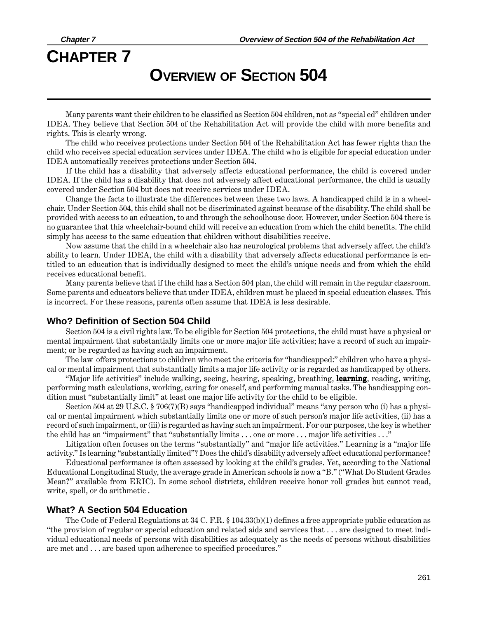## **OVERVIEW OF SECTION 504**

Many parents want their children to be classified as Section 504 children, not as "special ed" children under IDEA. They believe that Section 504 of the Rehabilitation Act will provide the child with more benefits and rights. This is clearly wrong.

The child who receives protections under Section 504 of the Rehabilitation Act has fewer rights than the child who receives special education services under IDEA. The child who is eligible for special education under IDEA automatically receives protections under Section 504.

If the child has a disability that adversely affects educational performance, the child is covered under IDEA. If the child has a disability that does not adversely affect educational performance, the child is usually covered under Section 504 but does not receive services under IDEA.

Change the facts to illustrate the differences between these two laws. A handicapped child is in a wheelchair. Under Section 504, this child shall not be discriminated against because of the disability. The child shall be provided with access to an education, to and through the schoolhouse door. However, under Section 504 there is no guarantee that this wheelchair-bound child will receive an education from which the child benefits. The child simply has access to the same education that children without disabilities receive.

Now assume that the child in a wheelchair also has neurological problems that adversely affect the child's ability to learn. Under IDEA, the child with a disability that adversely affects educational performance is entitled to an education that is individually designed to meet the child's unique needs and from which the child receives educational benefit.

Many parents believe that if the child has a Section 504 plan, the child will remain in the regular classroom. Some parents and educators believe that under IDEA, children must be placed in special education classes. This is incorrect. For these reasons, parents often assume that IDEA is less desirable.

#### **Who? Definition of Section 504 Child**

Section 504 is a civil rights law. To be eligible for Section 504 protections, the child must have a physical or mental impairment that substantially limits one or more major life activities; have a record of such an impairment; or be regarded as having such an impairment.

The law offers protections to children who meet the criteria for "handicapped:" children who have a physical or mental impairment that substantially limits a major life activity or is regarded as handicapped by others.

"Major life activities" include walking, seeing, hearing, speaking, breathing, learning, reading, writing, performing math calculations, working, caring for oneself, and performing manual tasks. The handicapping condition must "substantially limit" at least one major life activity for the child to be eligible.

Section 504 at 29 U.S.C. § 706(7)(B) says "handicapped individual" means "any person who (i) has a physical or mental impairment which substantially limits one or more of such person's major life activities, (ii) has a record of such impairment, or (iii) is regarded as having such an impairment. For our purposes, the key is whether the child has an "impairment" that "substantially limits . . . one or more . . . major life activities . . ."

Litigation often focuses on the terms "substantially" and "major life activities." Learning is a "major life activity." Is learning "substantially limited"? Does the child's disability adversely affect educational performance?

Educational performance is often assessed by looking at the child's grades. Yet, according to the National Educational Longitudinal Study, the average grade in American schools is now a "B." ("What Do Student Grades Mean?" available from ERIC). In some school districts, children receive honor roll grades but cannot read, write, spell, or do arithmetic .

#### **What? A Section 504 Education**

The Code of Federal Regulations at 34 C. F.R. § 104.33(b)(1) defines a free appropriate public education as "the provision of regular or special education and related aids and services that . . . are designed to meet individual educational needs of persons with disabilities as adequately as the needs of persons without disabilities are met and . . . are based upon adherence to specified procedures."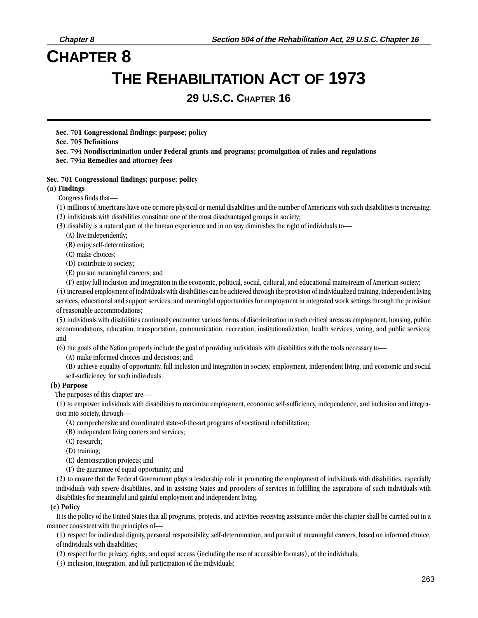## **CHAPTER 8 THE REHABILITATION ACT OF 1973**

#### **29 U.S.C. CHAPTER 16**

**Sec. 701 Congressional findings; purpose; policy**

**Sec. 705 Definitions**

- **Sec. 794 Nondiscrimination under Federal grants and programs; promulgation of rules and regulations**
- **Sec. 794a Remedies and attorney fees**

#### **Sec. 701 Congressional findings; purpose; policy**

#### **(a) Findings**

Congress finds that—

- (1) millions of Americans have one or more physical or mental disabilities and the number of Americans with such disabilities is increasing;
- (2) individuals with disabilities constitute one of the most disadvantaged groups in society;
- (3) disability is a natural part of the human experience and in no way diminishes the right of individuals to—
	- (A) live independently;

(B) enjoy self-determination;

- (C) make choices;
- (D) contribute to society;
- (E) pursue meaningful careers; and
- (F) enjoy full inclusion and integration in the economic, political, social, cultural, and educational mainstream of American society;

(4) increased employment of individuals with disabilities can be achieved through the provision of individualized training, independent living services, educational and support services, and meaningful opportunities for employment in integrated work settings through the provision of reasonable accommodations;

(5) individuals with disabilities continually encounter various forms of discrimination in such critical areas as employment, housing, public accommodations, education, transportation, communication, recreation, institutionalization, health services, voting, and public services; and

(6) the goals of the Nation properly include the goal of providing individuals with disabilities with the tools necessary to—

(A) make informed choices and decisions; and

(B) achieve equality of opportunity, full inclusion and integration in society, employment, independent living, and economic and social self-sufficiency, for such individuals.

#### **(b) Purpose**

The purposes of this chapter are—

(1) to empower individuals with disabilities to maximize employment, economic self-sufficiency, independence, and inclusion and integration into society, through—

(A) comprehensive and coordinated state-of-the-art programs of vocational rehabilitation;

- (B) independent living centers and services;
- (C) research;
- (D) training;
- (E) demonstration projects; and
- (F) the guarantee of equal opportunity; and

(2) to ensure that the Federal Government plays a leadership role in promoting the employment of individuals with disabilities, especially individuals with severe disabilities, and in assisting States and providers of services in fulfilling the aspirations of such individuals with disabilities for meaningful and gainful employment and independent living.

#### **(c) Policy**

 It is the policy of the United States that all programs, projects, and activities receiving assistance under this chapter shall be carried out in a manner consistent with the principles of—

(1) respect for individual dignity, personal responsibility, self-determination, and pursuit of meaningful careers, based on informed choice, of individuals with disabilities;

(2) respect for the privacy, rights, and equal access (including the use of accessible formats), of the individuals;

(3) inclusion, integration, and full participation of the individuals;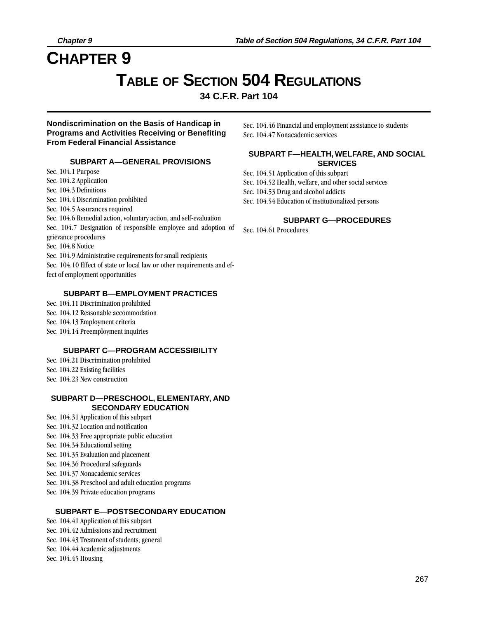**TABLE OF SECTION 504 REGULATIONS**

**34 C.F.R. Part 104**

#### **Nondiscrimination on the Basis of Handicap in Programs and Activities Receiving or Benefiting From Federal Financial Assistance**

#### **SUBPART A—GENERAL PROVISIONS**

Sec. 104.1 Purpose Sec. 104.2 Application Sec. 104.3 Definitions Sec. 104.4 Discrimination prohibited Sec. 104.5 Assurances required Sec. 104.6 Remedial action, voluntary action, and self-evaluation Sec. 104.7 Designation of responsible employee and adoption of grievance procedures Sec. 104.8 Notice Sec. 104.9 Administrative requirements for small recipients Sec. 104.10 Effect of state or local law or other requirements and effect of employment opportunities

#### **SUBPART B—EMPLOYMENT PRACTICES**

- Sec. 104.11 Discrimination prohibited
- Sec. 104.12 Reasonable accommodation
- Sec. 104.13 Employment criteria
- Sec. 104.14 Preemployment inquiries

#### **SUBPART C—PROGRAM ACCESSIBILITY**

- Sec. 104.21 Discrimination prohibited Sec. 104.22 Existing facilities
- Sec. 104.23 New construction

#### **SUBPART D—PRESCHOOL, ELEMENTARY, AND SECONDARY EDUCATION**

- Sec. 104.31 Application of this subpart
- Sec. 104.32 Location and notification
- Sec. 104.33 Free appropriate public education
- Sec. 104.34 Educational setting
- Sec. 104.35 Evaluation and placement
- Sec. 104.36 Procedural safeguards
- Sec. 104.37 Nonacademic services
- Sec. 104.38 Preschool and adult education programs
- Sec. 104.39 Private education programs

#### **SUBPART E—POSTSECONDARY EDUCATION**

Sec. 104.41 Application of this subpart Sec. 104.42 Admissions and recruitment Sec. 104.43 Treatment of students; general Sec. 104.44 Academic adjustments Sec. 104.45 Housing

Sec. 104.46 Financial and employment assistance to students Sec. 104.47 Nonacademic services

#### **SUBPART F—HEALTH, WELFARE, AND SOCIAL SERVICES**

- Sec. 104.51 Application of this subpart
- Sec. 104.52 Health, welfare, and other social services
- Sec. 104.53 Drug and alcohol addicts
- Sec. 104.54 Education of institutionalized persons

#### **SUBPART G—PROCEDURES**

Sec. 104.61 Procedures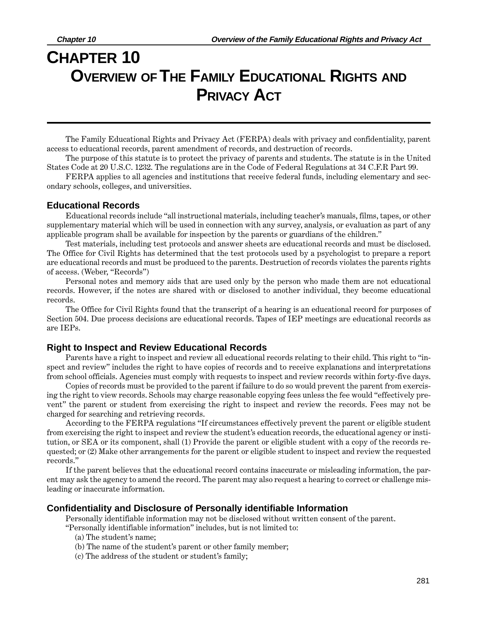## **CHAPTER 10 OVERVIEW OF THE FAMILY EDUCATIONAL RIGHTS AND PRIVACY ACT**

The Family Educational Rights and Privacy Act (FERPA) deals with privacy and confidentiality, parent access to educational records, parent amendment of records, and destruction of records.

The purpose of this statute is to protect the privacy of parents and students. The statute is in the United States Code at 20 U.S.C. 1232. The regulations are in the Code of Federal Regulations at 34 C.F.R Part 99.

FERPA applies to all agencies and institutions that receive federal funds, including elementary and secondary schools, colleges, and universities.

#### **Educational Records**

Educational records include "all instructional materials, including teacher's manuals, films, tapes, or other supplementary material which will be used in connection with any survey, analysis, or evaluation as part of any applicable program shall be available for inspection by the parents or guardians of the children."

Test materials, including test protocols and answer sheets are educational records and must be disclosed. The Office for Civil Rights has determined that the test protocols used by a psychologist to prepare a report are educational records and must be produced to the parents. Destruction of records violates the parents rights of access. (Weber, "Records")

Personal notes and memory aids that are used only by the person who made them are not educational records. However, if the notes are shared with or disclosed to another individual, they become educational records.

The Office for Civil Rights found that the transcript of a hearing is an educational record for purposes of Section 504. Due process decisions are educational records. Tapes of IEP meetings are educational records as are IEPs.

#### **Right to Inspect and Review Educational Records**

Parents have a right to inspect and review all educational records relating to their child. This right to "inspect and review" includes the right to have copies of records and to receive explanations and interpretations from school officials. Agencies must comply with requests to inspect and review records within forty-five days.

Copies of records must be provided to the parent if failure to do so would prevent the parent from exercising the right to view records. Schools may charge reasonable copying fees unless the fee would "effectively prevent" the parent or student from exercising the right to inspect and review the records. Fees may not be charged for searching and retrieving records.

According to the FERPA regulations "If circumstances effectively prevent the parent or eligible student from exercising the right to inspect and review the student's education records, the educational agency or institution, or SEA or its component, shall (1) Provide the parent or eligible student with a copy of the records requested; or (2) Make other arrangements for the parent or eligible student to inspect and review the requested records."

If the parent believes that the educational record contains inaccurate or misleading information, the parent may ask the agency to amend the record. The parent may also request a hearing to correct or challenge misleading or inaccurate information.

#### **Confidentiality and Disclosure of Personally identifiable Information**

Personally identifiable information may not be disclosed without written consent of the parent.

"Personally identifiable information" includes, but is not limited to:

- (a) The student's name;
- (b) The name of the student's parent or other family member;
- (c) The address of the student or student's family;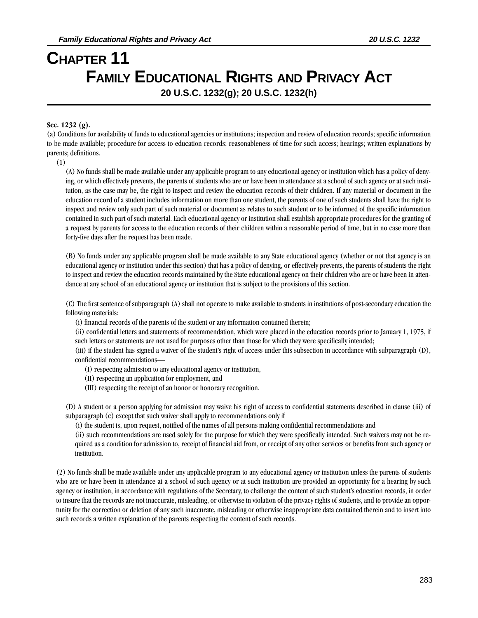### **CHAPTER 11 FAMILY EDUCATIONAL RIGHTS AND PRIVACY ACT 20 U.S.C. 1232(g); 20 U.S.C. 1232(h)**

#### **Sec. 1232 (g).**

(a) Conditions for availability of funds to educational agencies or institutions; inspection and review of education records; specific information to be made available; procedure for access to education records; reasonableness of time for such access; hearings; written explanations by parents; definitions.

(1)

(A) No funds shall be made available under any applicable program to any educational agency or institution which has a policy of denying, or which effectively prevents, the parents of students who are or have been in attendance at a school of such agency or at such institution, as the case may be, the right to inspect and review the education records of their children. If any material or document in the education record of a student includes information on more than one student, the parents of one of such students shall have the right to inspect and review only such part of such material or document as relates to such student or to be informed of the specific information contained in such part of such material. Each educational agency or institution shall establish appropriate procedures for the granting of a request by parents for access to the education records of their children within a reasonable period of time, but in no case more than forty-five days after the request has been made.

(B) No funds under any applicable program shall be made available to any State educational agency (whether or not that agency is an educational agency or institution under this section) that has a policy of denying, or effectively prevents, the parents of students the right to inspect and review the education records maintained by the State educational agency on their children who are or have been in attendance at any school of an educational agency or institution that is subject to the provisions of this section.

(C) The first sentence of subparagraph (A) shall not operate to make available to students in institutions of post-secondary education the following materials:

(i) financial records of the parents of the student or any information contained therein;

(ii) confidential letters and statements of recommendation, which were placed in the education records prior to January 1, 1975, if such letters or statements are not used for purposes other than those for which they were specifically intended;

(iii) if the student has signed a waiver of the student's right of access under this subsection in accordance with subparagraph (D), confidential recommendations—

(I) respecting admission to any educational agency or institution,

- (II) respecting an application for employment, and
- (III) respecting the receipt of an honor or honorary recognition.

(D) A student or a person applying for admission may waive his right of access to confidential statements described in clause (iii) of subparagraph (c) except that such waiver shall apply to recommendations only if

(i) the student is, upon request, notified of the names of all persons making confidential recommendations and

(ii) such recommendations are used solely for the purpose for which they were specifically intended. Such waivers may not be required as a condition for admission to, receipt of financial aid from, or receipt of any other services or benefits from such agency or institution.

(2) No funds shall be made available under any applicable program to any educational agency or institution unless the parents of students who are or have been in attendance at a school of such agency or at such institution are provided an opportunity for a hearing by such agency or institution, in accordance with regulations of the Secretary, to challenge the content of such student's education records, in order to insure that the records are not inaccurate, misleading, or otherwise in violation of the privacy rights of students, and to provide an opportunity for the correction or deletion of any such inaccurate, misleading or otherwise inappropriate data contained therein and to insert into such records a written explanation of the parents respecting the content of such records.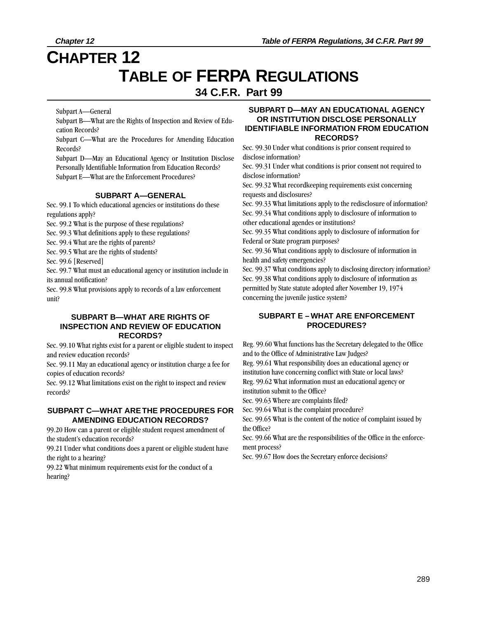### **CHAPTER 12 TABLE OF FERPA REGULATIONS 34 C.F.R. Part 99**

Subpart A—General

Subpart B—What are the Rights of Inspection and Review of Education Records?

Subpart C—What are the Procedures for Amending Education Records?

Subpart D—May an Educational Agency or Institution Disclose Personally Identifiable Information from Education Records? Subpart E—What are the Enforcement Procedures?

#### **SUBPART A—GENERAL**

Sec. 99.1 To which educational agencies or institutions do these regulations apply?

Sec. 99.2 What is the purpose of these regulations?

Sec. 99.3 What definitions apply to these regulations?

Sec. 99.4 What are the rights of parents?

Sec. 99.5 What are the rights of students?

Sec. 99.6 [Reserved]

Sec. 99.7 What must an educational agency or institution include in its annual notification?

Sec. 99.8 What provisions apply to records of a law enforcement unit?

#### **SUBPART B—WHAT ARE RIGHTS OF INSPECTION AND REVIEW OF EDUCATION RECORDS?**

Sec. 99.10 What rights exist for a parent or eligible student to inspect and review education records?

Sec. 99.11 May an educational agency or institution charge a fee for copies of education records?

Sec. 99.12 What limitations exist on the right to inspect and review records?

#### **SUBPART C—WHAT ARE THE PROCEDURES FOR AMENDING EDUCATION RECORDS?**

99.20 How can a parent or eligible student request amendment of the student's education records?

99.21 Under what conditions does a parent or eligible student have the right to a hearing?

99.22 What minimum requirements exist for the conduct of a hearing?

#### **SUBPART D—MAY AN EDUCATIONAL AGENCY OR INSTITUTION DISCLOSE PERSONALLY IDENTIFIABLE INFORMATION FROM EDUCATION RECORDS?**

Sec. 99.30 Under what conditions is prior consent required to disclose information?

Sec. 99.31 Under what conditions is prior consent not required to disclose information?

Sec. 99.32 What recordkeeping requirements exist concerning requests and disclosures?

Sec. 99.33 What limitations apply to the redisclosure of information? Sec. 99.34 What conditions apply to disclosure of information to other educational agendes or institutions?

Sec. 99.35 What conditions apply to disclosure of information for Federal or State program purposes?

Sec. 99.36 What conditions apply to disclosure of information in health and safety emergencies?

Sec. 99.37 What conditions apply to disclosing directory information? Sec. 99.38 What conditions apply to disclosure of information as permitted by State statute adopted after November 19, 1974 concerning the juvenile justice system?

#### **SUBPART E – WHAT ARE ENFORCEMENT PROCEDURES?**

Reg. 99.60 What functions has the Secretary delegated to the Office and to the Office of Administrative Law Judges? Reg. 99.61 What responsibility does an educational agency or

institution have concerning conflict with State or local laws? Reg. 99.62 What information must an educational agency or institution submit to the Office?

Sec. 99.63 Where are complaints filed?

Sec. 99.64 What is the complaint procedure?

Sec. 99.65 What is the content of the notice of complaint issued by the Office?

Sec. 99.66 What are the responsibilities of the Office in the enforcement process?

Sec. 99.67 How does the Secretary enforce decisions?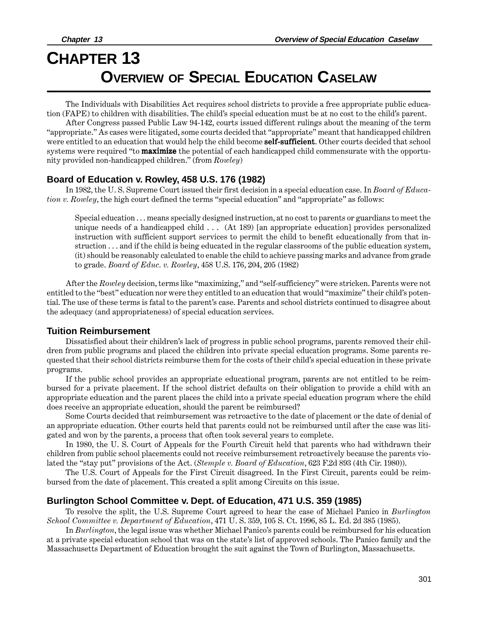## **CHAPTER 13 OVERVIEW OF SPECIAL EDUCATION CASELAW**

The Individuals with Disabilities Act requires school districts to provide a free appropriate public education (FAPE) to children with disabilities. The child's special education must be at no cost to the child's parent.

After Congress passed Public Law 94-142, courts issued different rulings about the meaning of the term "appropriate." As cases were litigated, some courts decided that "appropriate" meant that handicapped children were entitled to an education that would help the child become **self-sufficient**. Other courts decided that school systems were required "to **maximize** the potential of each handicapped child commensurate with the opportunity provided non-handicapped children." (from *Rowley*)

#### **Board of Education v. Rowley, 458 U.S. 176 (1982)**

In 1982, the U. S. Supreme Court issued their first decision in a special education case. In *Board of Education v. Rowley*, the high court defined the terms "special education" and "appropriate" as follows:

Special education . . . means specially designed instruction, at no cost to parents or guardians to meet the unique needs of a handicapped child . . . (At 189) [an appropriate education] provides personalized instruction with sufficient support services to permit the child to benefit educationally from that instruction . . . and if the child is being educated in the regular classrooms of the public education system, (it) should be reasonably calculated to enable the child to achieve passing marks and advance from grade to grade. *Board of Educ. v. Rowley*, 458 U.S. 176, 204, 205 (1982)

After the *Rowley* decision, terms like "maximizing," and "self-sufficiency" were stricken. Parents were not entitled to the "best" education nor were they entitled to an education that would "maximize" their child's potential. The use of these terms is fatal to the parent's case. Parents and school districts continued to disagree about the adequacy (and appropriateness) of special education services.

#### **Tuition Reimbursement**

Dissatisfied about their children's lack of progress in public school programs, parents removed their children from public programs and placed the children into private special education programs. Some parents requested that their school districts reimburse them for the costs of their child's special education in these private programs.

If the public school provides an appropriate educational program, parents are not entitled to be reimbursed for a private placement. If the school district defaults on their obligation to provide a child with an appropriate education and the parent places the child into a private special education program where the child does receive an appropriate education, should the parent be reimbursed?

Some Courts decided that reimbursement was retroactive to the date of placement or the date of denial of an appropriate education. Other courts held that parents could not be reimbursed until after the case was litigated and won by the parents, a process that often took several years to complete.

In 1980, the U. S. Court of Appeals for the Fourth Circuit held that parents who had withdrawn their children from public school placements could not receive reimbursement retroactively because the parents violated the "stay put" provisions of the Act. (*Stemple v. Board of Education*, 623 F.2d 893 (4th Cir. 1980)).

The U.S. Court of Appeals for the First Circuit disagreed. In the First Circuit, parents could be reimbursed from the date of placement. This created a split among Circuits on this issue.

#### **Burlington School Committee v. Dept. of Education, 471 U.S. 359 (1985)**

To resolve the split, the U.S. Supreme Court agreed to hear the case of Michael Panico in *Burlington School Committee v. Department of Education*, 471 U. S. 359, 105 S. Ct. 1996, 85 L. Ed. 2d 385 (1985).

In *Burlington*, the legal issue was whether Michael Panico's parents could be reimbursed for his education at a private special education school that was on the state's list of approved schools. The Panico family and the Massachusetts Department of Education brought the suit against the Town of Burlington, Massachusetts.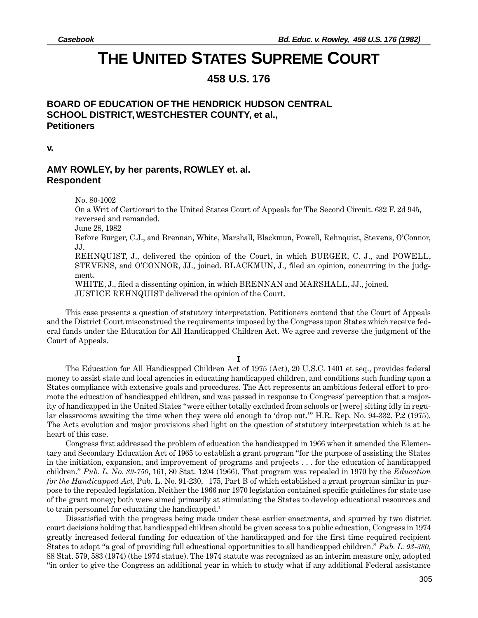## **THE UNITED STATES SUPREME COURT**

**458 U.S. 176**

#### **BOARD OF EDUCATION OF THE HENDRICK HUDSON CENTRAL SCHOOL DISTRICT, WESTCHESTER COUNTY, et al., Petitioners**

**v.**

#### **AMY ROWLEY, by her parents, ROWLEY et. al. Respondent**

No. 80-1002

On a Writ of Certiorari to the United States Court of Appeals for The Second Circuit. 632 F. 2d 945, reversed and remanded.

June 28, 1982

Before Burger, C.J., and Brennan, White, Marshall, Blackmun, Powell, Rehnquist, Stevens, O'Connor, JJ.

REHNQUIST, J., delivered the opinion of the Court, in which BURGER, C. J., and POWELL, STEVENS, and O'CONNOR, JJ., joined. BLACKMUN, J., filed an opinion, concurring in the judgment.

WHITE, J., filed a dissenting opinion, in which BRENNAN and MARSHALL, JJ., joined.

JUSTICE REHNQUIST delivered the opinion of the Court.

This case presents a question of statutory interpretation. Petitioners contend that the Court of Appeals and the District Court misconstrued the requirements imposed by the Congress upon States which receive federal funds under the Education for All Handicapped Children Act. We agree and reverse the judgment of the Court of Appeals.

I

The Education for All Handicapped Children Act of 1975 (Act), 20 U.S.C. 1401 et seq., provides federal money to assist state and local agencies in educating handicapped children, and conditions such funding upon a States compliance with extensive goals and procedures. The Act represents an ambitious federal effort to promote the education of handicapped children, and was passed in response to Congress' perception that a majority of handicapped in the United States "were either totally excluded from schools or [were] sitting idly in regular classrooms awaiting the time when they were old enough to 'drop out.'" H.R. Rep. No. 94-332. P.2 (1975). The Acts evolution and major provisions shed light on the question of statutory interpretation which is at he heart of this case.

Congress first addressed the problem of education the handicapped in 1966 when it amended the Elementary and Secondary Education Act of 1965 to establish a grant program "for the purpose of assisting the States in the initiation, expansion, and improvement of programs and projects . . . for the education of handicapped children." *Pub. L. No. 89-750*, 161, 80 Stat. 1204 (1966). That program was repealed in 1970 by the *Education for the Handicapped Act*, Pub. L. No. 91-230, 175, Part B of which established a grant program similar in purpose to the repealed legislation. Neither the 1966 nor 1970 legislation contained specific guidelines for state use of the grant money; both were aimed primarily at stimulating the States to develop educational resources and to train personnel for educating the handicapped.<sup>1</sup>

Dissatisfied with the progress being made under these earlier enactments, and spurred by two district court decisions holding that handicapped children should be given access to a public education, Congress in 1974 greatly increased federal funding for education of the handicapped and for the first time required recipient States to adopt "a goal of providing full educational opportunities to all handicapped children." *Pub. L. 93-380*, 88 Stat. 579, 583 (1974) (the 1974 statue). The 1974 statute was recognized as an interim measure only, adopted "in order to give the Congress an additional year in which to study what if any additional Federal assistance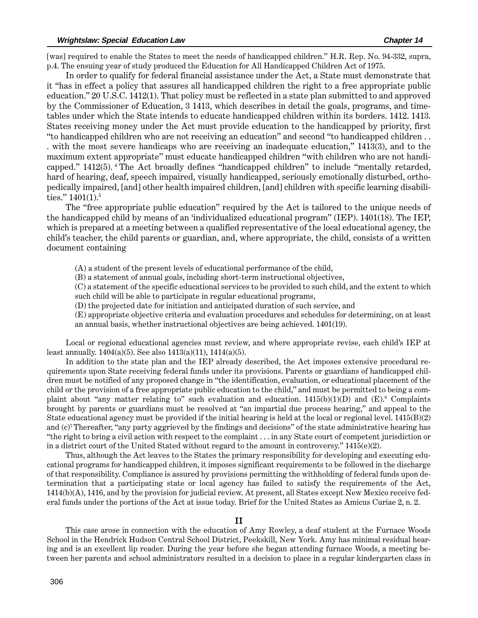[was] required to enable the States to meet the needs of handicapped children." H.R. Rep. No. 94-332, supra, p.4. The ensuing year of study produced the Education for All Handicapped Children Act of 1975.

In order to qualify for federal financial assistance under the Act, a State must demonstrate that it "has in effect a policy that assures all handicapped children the right to a free appropriate public education." 20 U.S.C. 1412(1). That policy must be reflected in a state plan submitted to and approved by the Commissioner of Education, 3 1413, which describes in detail the goals, programs, and timetables under which the State intends to educate handicapped children within its borders. 1412. 1413. States receiving money under the Act must provide education to the handicapped by priority, first "to handicapped children who are not receiving an education" and second "to handicapped children . . . with the most severe handicaps who are receiving an inadequate education," 1413(3), and to the maximum extent appropriate" must educate handicapped children "with children who are not handicapped." 1412(5). 4 The Act broadly defines "handicapped children" to include "mentally retarded, hard of hearing, deaf, speech impaired, visually handicapped, seriously emotionally disturbed, orthopedically impaired, [and] other health impaired children, [and] children with specific learning disabilities."  $1401(1)$ .<sup>5</sup>

The "free appropriate public education" required by the Act is tailored to the unique needs of the handicapped child by means of an 'individualized educational program" (IEP). 1401(18). The IEP, which is prepared at a meeting between a qualified representative of the local educational agency, the child's teacher, the child parents or guardian, and, where appropriate, the child, consists of a written document containing

(A) a student of the present levels of educational performance of the child,

(B) a statement of annual goals, including short-term instructional objectives,

(C) a statement of the specific educational services to be provided to such child, and the extent to which such child will be able to participate in regular educational programs,

(D) the projected date for initiation and anticipated duration of such service, and

(E) appropriate objective criteria and evaluation procedures and schedules for determining, on at least an annual basis, whether instructional objectives are being achieved. 1401(19).

Local or regional educational agencies must review, and where appropriate revise, each child's IEP at least annually. 1404(a)(5). See also 1413(a)(11), 1414(a)(5).

In addition to the state plan and the IEP already described, the Act imposes extensive procedural requirements upon State receiving federal funds under its provisions. Parents or guardians of handicapped children must be notified of any proposed change in "the identification, evaluation, or educational placement of the child or the provision of a free appropriate public education to the child," and must be permitted to being a complaint about "any matter relating to" such evaluation and education.  $1415(b)(1)(D)$  and  $(E)$ . Complaints brought by parents or guardians must be resolved at "an impartial due process hearing," and appeal to the State educational agency must be provided if the initial hearing is held at the local or regional level.  $1415(B)(2)$ and (c)<sup>7</sup>Thereafter, "any party aggrieved by the findings and decisions" of the state administrative hearing has "the right to bring a civil action with respect to the complaint . . . in any State court of competent jurisdiction or in a district court of the United Stated without regard to the amount in controversy."  $1415(e)(2)$ .

Thus, although the Act leaves to the States the primary responsibility for developing and executing educational programs for handicapped children, it imposes significant requirements to be followed in the discharge of that responsibility. Compliance is assured by provisions permitting the withholding of federal funds upon determination that a participating state or local agency has failed to satisfy the requirements of the Act, 1414(b)(A), 1416, and by the provision for judicial review. At present, all States except New Mexico receive federal funds under the portions of the Act at issue today. Brief for the United States as Amicus Curiae 2, n. 2.

#### II

This case arose in connection with the education of Amy Rowley, a deaf student at the Furnace Woods School in the Hendrick Hudson Central School District, Peekskill, New York. Amy has minimal residual hearing and is an excellent lip reader. During the year before she began attending furnace Woods, a meeting between her parents and school administrators resulted in a decision to place in a regular kindergarten class in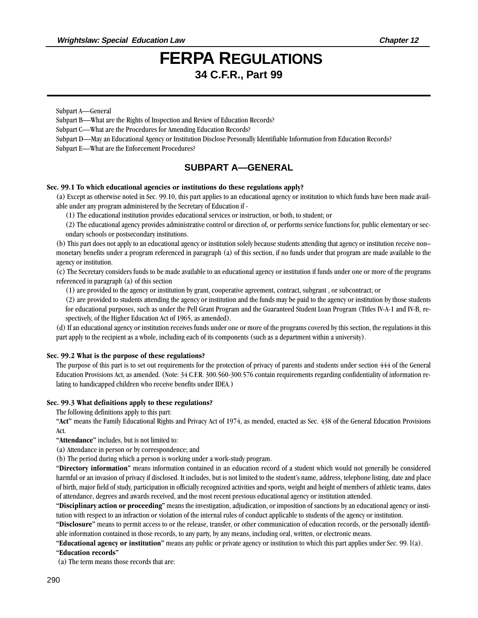### **FERPA REGULATIONS 34 C.F.R., Part 99**

Subpart A—General

Subpart B—What are the Rights of Inspection and Review of Education Records?

Subpart C—What are the Procedures for Amending Education Records?

Subpart D—May an Educational Agency or Institution Disclose Personally Identifiable Information from Education Records?

Subpart E—What are the Enforcement Procedures?

#### **SUBPART A—GENERAL**

#### **Sec. 99.1 To which educational agencies or institutions do these regulations apply?**

(a) Except as otherwise noted in Sec. 99.10, this part applies to an educational agency or institution to which funds have been made available under any program administered by the Secretary of Education if -

(1) The educational institution provides educational services or instruction, or both, to student; or

(2) The educational agency provides administrative control or direction of, or performs service functions for, public elementary or secondary schools or postsecondary institutions.

(b) This part does not apply to an educational agency or institution solely because students attending that agency or institution receive non– monetary benefits under a program referenced in paragraph (a) of this section, if no funds under that program are made available to the agency or institution.

(c) The Secretary considers funds to be made available to an educational agency or institution if funds under one or more of the programs referenced in paragraph (a) of this section

(1) are provided to the agency or institution by grant, cooperative agreement, contract, subgrant , or subcontract; or

(2) are provided to students attending the agency or institution and the funds may be paid to the agency or institution by those students for educational purposes, such as under the Pell Grant Program and the Guaranteed Student Loan Program (Titles IV-A-1 and IV-B, respectively, of the Higher Education Act of 1965, as amended).

(d) If an educational agency or institution receives funds under one or more of the programs covered by this section, the regulations in this part apply to the recipient as a whole, including each of its components (such as a department within a university).

#### **Sec. 99.2 What is the purpose of these regulations?**

The purpose of this part is to set out requirements for the protection of privacy of parents and students under section 444 of the General Education Provisions Act, as amended. (Note: 34 C.F.R. 300.560-300.576 contain requirements regarding confidentiality of information relating to handicapped children who receive benefits under IDEA.)

#### **Sec. 99.3 What definitions apply to these regulations?**

The following definitions apply to this part:

**"Act"** means the Family Educational Rights and Privacy Act of 1974, as mended, enacted as Sec. 438 of the General Education Provisions Act.

**"Attendance"** includes, but is not limited to:

(a) Attendance in person or by correspondence; and

(b) The period during which a person is working under a work-study program.

**"Directory information"** means information contained in an education record of a student which would not generally be considered harmful or an invasion of privacy if disclosed. It includes, but is not limited to the student's name, address, telephone listing, date and place of birth, major field of study, participation in officially recognized activities and sports, weight and height of members of athletic teams, dates of attendance, degrees and awards received, and the most recent previous educational agency or institution attended.

**"Disciplinary action or proceeding"** means the investigation, adjudication, or imposition of sanctions by an educational agency or institution with respect to an infraction or violation of the internal rules of conduct applicable to students of the agency or institution.

**"Disclosure"** means to permit access to or the release, transfer, or other communication of education records, or the personally identifiable information contained in those records, to any party, by any means, including oral, written, or electronic means.

**"Educational agency or institution"** means any public or private agency or institution to which this part applies under Sec. 99. l(a). **"Education records"**

(a) The term means those records that are: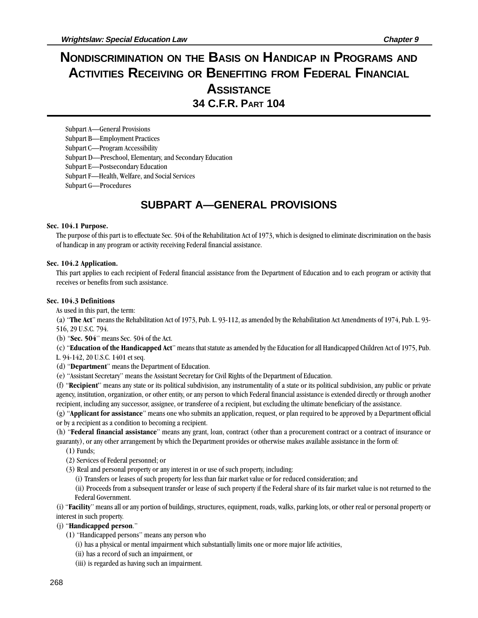### **NONDISCRIMINATION ON THE BASIS ON HANDICAP IN PROGRAMS AND ACTIVITIES RECEIVING OR BENEFITING FROM FEDERAL FINANCIAL ASSISTANCE 34 C.F.R. PART 104**

Subpart A—General Provisions

Subpart B—Employment Practices

Subpart C—Program Accessibility

Subpart D—Preschool, Elementary, and Secondary Education

Subpart E—Postsecondary Education

Subpart F—Health, Welfare, and Social Services

Subpart G—Procedures

### **SUBPART A—GENERAL PROVISIONS**

#### **Sec. 104.1 Purpose.**

The purpose of this part is to effectuate Sec. 504 of the Rehabilitation Act of 1973, which is designed to eliminate discrimination on the basis of handicap in any program or activity receiving Federal financial assistance.

#### **Sec. 104.2 Application.**

This part applies to each recipient of Federal financial assistance from the Department of Education and to each program or activity that receives or benefits from such assistance.

#### **Sec. 104.3 Definitions**

As used in this part, the term:

(a) "**The Act**'' means the Rehabilitation Act of 1973, Pub. L. 93-112, as amended by the Rehabilitation Act Amendments of 1974, Pub. L. 93- 516, 29 U.S.C. 794.

(b) "**Sec. 504**'' means Sec. 504 of the Act.

(c) "**Education of the Handicapped Act**'' means that statute as amended by the Education for all Handicapped Children Act of 1975, Pub.

L. 94-142, 20 U.S.C. 1401 et seq.

(d) "**Department**'' means the Department of Education.

(e) "Assistant Secretary'' means the Assistant Secretary for Civil Rights of the Department of Education.

(f) "**Recipient'**' means any state or its political subdivision, any instrumentality of a state or its political subdivision, any public or private agency, institution, organization, or other entity, or any person to which Federal financial assistance is extended directly or through another recipient, including any successor, assignee, or transferee of a recipient, but excluding the ultimate beneficiary of the assistance.

(g) "**Applicant for assistance**'' means one who submits an application, request, or plan required to be approved by a Department official or by a recipient as a condition to becoming a recipient.

(h) "**Federal financial assistance**'' means any grant, loan, contract (other than a procurement contract or a contract of insurance or guaranty), or any other arrangement by which the Department provides or otherwise makes available assistance in the form of:

(1) Funds;

- (2) Services of Federal personnel; or
- (3) Real and personal property or any interest in or use of such property, including:
	- (i) Transfers or leases of such property for less than fair market value or for reduced consideration; and

(ii) Proceeds from a subsequent transfer or lease of such property if the Federal share of its fair market value is not returned to the Federal Government.

(i) "**Facility**'' means all or any portion of buildings, structures, equipment, roads, walks, parking lots, or other real or personal property or interest in such property.

#### (j) "**Handicapped person**.''

- (1) "Handicapped persons'' means any person who
	- (i) has a physical or mental impairment which substantially limits one or more major life activities,
	- (ii) has a record of such an impairment, or
	- (iii) is regarded as having such an impairment.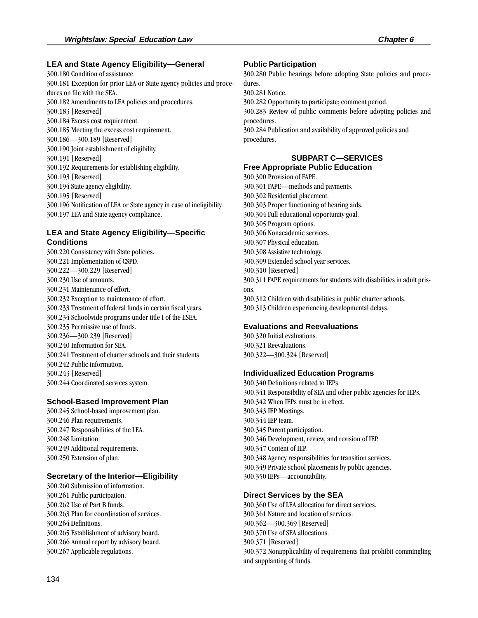#### **LEA and State Agency Eligibility—General**

300.180 Condition of assistance. 300.181 Exception for prior LEA or State agency policies and procedures on file with the SEA. 300.182 Amendments to LEA policies and procedures. 300.183 [Reserved] 300.184 Excess cost requirement. 300.185 Meeting the excess cost requirement. 300.186—300.189 [Reserved] 300.190 Joint establishment of eligibility. 300.191 [Reserved] 300.192 Requirements for establishing eligibility. 300.193 [Reserved] 300.194 State agency eligibility. 300.195 [Reserved] 300.196 Notification of LEA or State agency in case of ineligibility. 300.197 LEA and State agency compliance.

#### **LEA and State Agency Eligibility—Specific Conditions**

300.220 Consistency with State policies. 300.221 Implementation of CSPD. 300.222—300.229 [Reserved] 300.230 Use of amounts. 300.231 Maintenance of effort. 300.232 Exception to maintenance of effort. 300.233 Treatment of federal funds in certain fiscal years. 300.234 Schoolwide programs under title I of the ESEA. 300.235 Permissive use of funds. 300.236—300.239 [Reserved] 300.240 Information for SEA. 300.241 Treatment of charter schools and their students. 300.242 Public information. 300.243 [Reserved] 300.244 Coordinated services system.

#### **School-Based Improvement Plan**

300.245 School-based improvement plan. 300.246 Plan requirements. 300.247 Responsibilities of the LEA. 300.248 Limitation. 300.249 Additional requirements. 300.250 Extension of plan.

#### **Secretary of the Interior—Eligibility**

300.260 Submission of information. 300.261 Public participation. 300.262 Use of Part B funds. 300.263 Plan for coordination of services. 300.264 Definitions. 300.265 Establishment of advisory board. 300.266 Annual report by advisory board. 300.267 Applicable regulations.

#### **Public Participation**

300.280 Public hearings before adopting State policies and procedures.

300.281 Notice.

300.282 Opportunity to participate; comment period.

300.283 Review of public comments before adopting policies and procedures.

300.284 Publication and availability of approved policies and procedures.

#### **SUBPART C—SERVICES**

#### **Free Appropriate Public Education**

300.300 Provision of FAPE. 300.301 FAPE—methods and payments. 300.302 Residential placement. 300.303 Proper functioning of hearing aids. 300.304 Full educational opportunity goal. 300.305 Program options. 300.306 Nonacademic services. 300.307 Physical education. 300.308 Assistive technology. 300.309 Extended school year services. 300.310 [Reserved] 300.311 FAPE requirements for students with disabilities in adult prisons. 300.312 Children with disabilities in public charter schools. 300.313 Children experiencing developmental delays.

#### **Evaluations and Reevaluations**

300.320 Initial evaluations. 300.321 Reevaluations. 300.322—300.324 [Reserved]

#### **Individualized Education Programs**

300.340 Definitions related to IEPs. 300.341 Responsibility of SEA and other public agencies for IEPs. 300.342 When IEPs must be in effect. 300.343 IEP Meetings. 300.344 IEP team. 300.345 Parent participation. 300.346 Development, review, and revision of IEP. 300.347 Content of IEP. 300.348 Agency responsibilities for transition services. 300.349 Private school placements by public agencies. 300.350 IEPs—accountability.

#### **Direct Services by the SEA**

300.360 Use of LEA allocation for direct services. 300.361 Nature and location of services. 300.362—300.369 [Reserved] 300.370 Use of SEA allocations. 300.371 [Reserved] 300.372 Nonapplicability of requirements that prohibit commingling and supplanting of funds.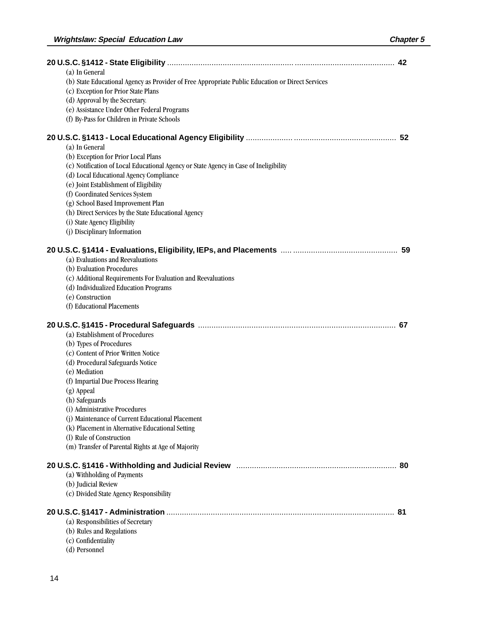| (a) In General<br>(b) State Educational Agency as Provider of Free Appropriate Public Education or Direct Services<br>(c) Exception for Prior State Plans<br>(d) Approval by the Secretary.<br>(e) Assistance Under Other Federal Programs<br>(f) By-Pass for Children in Private Schools                                                                                                                                                              |  |
|--------------------------------------------------------------------------------------------------------------------------------------------------------------------------------------------------------------------------------------------------------------------------------------------------------------------------------------------------------------------------------------------------------------------------------------------------------|--|
| (a) In General<br>(b) Exception for Prior Local Plans<br>(c) Notification of Local Educational Agency or State Agency in Case of Ineligibility<br>(d) Local Educational Agency Compliance<br>(e) Joint Establishment of Eligibility<br>(f) Coordinated Services System<br>(g) School Based Improvement Plan<br>(h) Direct Services by the State Educational Agency<br>(i) State Agency Eligibility<br>(j) Disciplinary Information                     |  |
| (a) Evaluations and Reevaluations<br>(b) Evaluation Procedures<br>(c) Additional Requirements For Evaluation and Reevaluations<br>(d) Individualized Education Programs<br>(e) Construction<br>(f) Educational Placements                                                                                                                                                                                                                              |  |
| (a) Establishment of Procedures<br>(b) Types of Procedures<br>(c) Content of Prior Written Notice<br>(d) Procedural Safeguards Notice<br>(e) Mediation<br>(f) Impartial Due Process Hearing<br>(g) Appeal<br>(h) Safeguards<br>(i) Administrative Procedures<br>(j) Maintenance of Current Educational Placement<br>(k) Placement in Alternative Educational Setting<br>(1) Rule of Construction<br>(m) Transfer of Parental Rights at Age of Majority |  |
| (a) Withholding of Payments<br>(b) Judicial Review<br>(c) Divided State Agency Responsibility                                                                                                                                                                                                                                                                                                                                                          |  |
| (a) Responsibilities of Secretary<br>(b) Rules and Regulations<br>(c) Confidentiality<br>(d) Personnel                                                                                                                                                                                                                                                                                                                                                 |  |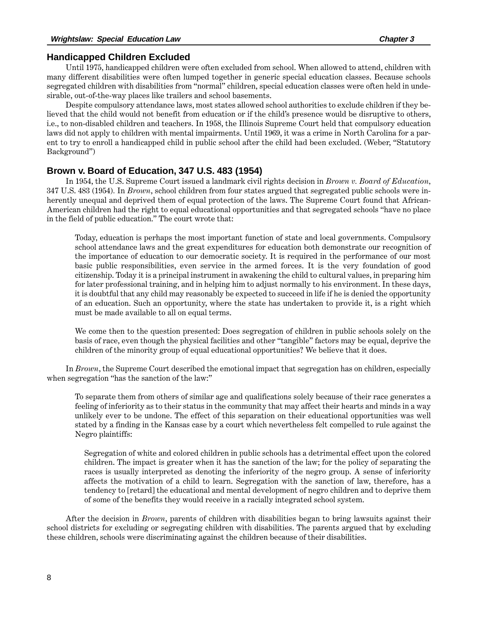#### **Handicapped Children Excluded**

Until 1975, handicapped children were often excluded from school. When allowed to attend, children with many different disabilities were often lumped together in generic special education classes. Because schools segregated children with disabilities from "normal" children, special education classes were often held in undesirable, out-of-the-way places like trailers and school basements.

Despite compulsory attendance laws, most states allowed school authorities to exclude children if they believed that the child would not benefit from education or if the child's presence would be disruptive to others, i.e., to non-disabled children and teachers. In 1958, the Illinois Supreme Court held that compulsory education laws did not apply to children with mental impairments. Until 1969, it was a crime in North Carolina for a parent to try to enroll a handicapped child in public school after the child had been excluded. (Weber, "Statutory Background")

#### **Brown v. Board of Education, 347 U.S. 483 (1954)**

In 1954, the U.S. Supreme Court issued a landmark civil rights decision in *Brown v. Board of Education,* 347 U.S. 483 (1954)*.* In *Brown*, school children from four states argued that segregated public schools were inherently unequal and deprived them of equal protection of the laws. The Supreme Court found that African-American children had the right to equal educational opportunities and that segregated schools "have no place in the field of public education." The court wrote that:

Today, education is perhaps the most important function of state and local governments. Compulsory school attendance laws and the great expenditures for education both demonstrate our recognition of the importance of education to our democratic society. It is required in the performance of our most basic public responsibilities, even service in the armed forces. It is the very foundation of good citizenship. Today it is a principal instrument in awakening the child to cultural values, in preparing him for later professional training, and in helping him to adjust normally to his environment. In these days, it is doubtful that any child may reasonably be expected to succeed in life if he is denied the opportunity of an education. Such an opportunity, where the state has undertaken to provide it, is a right which must be made available to all on equal terms.

We come then to the question presented: Does segregation of children in public schools solely on the basis of race, even though the physical facilities and other "tangible" factors may be equal, deprive the children of the minority group of equal educational opportunities? We believe that it does.

In *Brown*, the Supreme Court described the emotional impact that segregation has on children, especially when segregation "has the sanction of the law:"

To separate them from others of similar age and qualifications solely because of their race generates a feeling of inferiority as to their status in the community that may affect their hearts and minds in a way unlikely ever to be undone. The effect of this separation on their educational opportunities was well stated by a finding in the Kansas case by a court which nevertheless felt compelled to rule against the Negro plaintiffs:

Segregation of white and colored children in public schools has a detrimental effect upon the colored children. The impact is greater when it has the sanction of the law; for the policy of separating the races is usually interpreted as denoting the inferiority of the negro group. A sense of inferiority affects the motivation of a child to learn. Segregation with the sanction of law, therefore, has a tendency to [retard] the educational and mental development of negro children and to deprive them of some of the benefits they would receive in a racially integrated school system.

After the decision in *Brown*, parents of children with disabilities began to bring lawsuits against their school districts for excluding or segregating children with disabilities. The parents argued that by excluding these children, schools were discriminating against the children because of their disabilities.